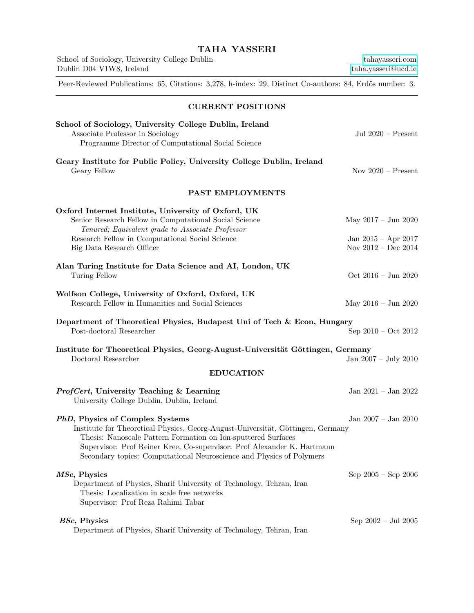| <b>TAHA YASSERI</b>                                                                                                                                                                                                                                                                                                                    |                                                                                 |
|----------------------------------------------------------------------------------------------------------------------------------------------------------------------------------------------------------------------------------------------------------------------------------------------------------------------------------------|---------------------------------------------------------------------------------|
| School of Sociology, University College Dublin<br>Dublin D04 V1W8, Ireland                                                                                                                                                                                                                                                             | tahayasseri.com<br>taha.yasseri@ucd.ie                                          |
| Peer-Reviewed Publications: 65, Citations: 3,278, h-index: 29, Distinct Co-authors: 84, Erdős number: 3.                                                                                                                                                                                                                               |                                                                                 |
| <b>CURRENT POSITIONS</b>                                                                                                                                                                                                                                                                                                               |                                                                                 |
| School of Sociology, University College Dublin, Ireland<br>Associate Professor in Sociology<br>Programme Director of Computational Social Science                                                                                                                                                                                      | Jul $2020$ – Present                                                            |
| Geary Institute for Public Policy, University College Dublin, Ireland<br>Geary Fellow                                                                                                                                                                                                                                                  | Nov $2020$ – Present                                                            |
| PAST EMPLOYMENTS                                                                                                                                                                                                                                                                                                                       |                                                                                 |
| Oxford Internet Institute, University of Oxford, UK<br>Senior Research Fellow in Computational Social Science<br>Tenured; Equivalent grade to Associate Professor<br>Research Fellow in Computational Social Science<br>Big Data Research Officer                                                                                      | May $2017 - \text{Jun } 2020$<br>Jan 2015 – Apr 2017<br>Nov $2012$ – Dec $2014$ |
| Alan Turing Institute for Data Science and AI, London, UK<br>Turing Fellow                                                                                                                                                                                                                                                             | Oct 2016 - Jun 2020                                                             |
| Wolfson College, University of Oxford, Oxford, UK<br>Research Fellow in Humanities and Social Sciences                                                                                                                                                                                                                                 | May $2016 - \text{Jun } 2020$                                                   |
| Department of Theoretical Physics, Budapest Uni of Tech & Econ, Hungary<br>Post-doctoral Researcher                                                                                                                                                                                                                                    | Sep $2010$ – Oct $2012$                                                         |
| Institute for Theoretical Physics, Georg-August-Universität Göttingen, Germany<br>Doctoral Researcher                                                                                                                                                                                                                                  | Jan 2007 - July 2010                                                            |
| <b>EDUCATION</b>                                                                                                                                                                                                                                                                                                                       |                                                                                 |
| ProfCert, University Teaching & Learning<br>University College Dublin, Dublin, Ireland                                                                                                                                                                                                                                                 | Jan 2021 – Jan 2022                                                             |
| PhD, Physics of Complex Systems<br>Institute for Theoretical Physics, Georg-August-Universität, Göttingen, Germany<br>Thesis: Nanoscale Pattern Formation on Ion-sputtered Surfaces<br>Supervisor: Prof Reiner Kree, Co-supervisor: Prof Alexander K. Hartmann<br>Secondary topics: Computational Neuroscience and Physics of Polymers | Jan $2007 -$ Jan $2010$                                                         |
| MSc, Physics<br>Department of Physics, Sharif University of Technology, Tehran, Iran<br>Thesis: Localization in scale free networks<br>Supervisor: Prof Reza Rahimi Tabar                                                                                                                                                              | $Sep\ 2005-Sep\ 2006$                                                           |
| BSc, Physics<br>Department of Physics, Sharif University of Technology, Tehran, Iran                                                                                                                                                                                                                                                   | Sep $2002 -$ Jul $2005$                                                         |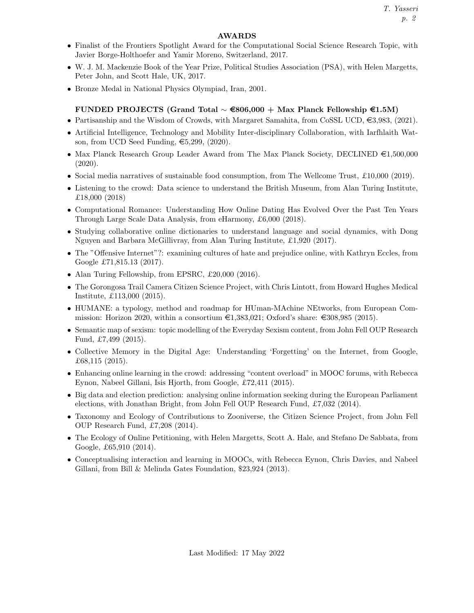# AWARDS

- Finalist of the Frontiers Spotlight Award for the Computational Social Science Research Topic, with Javier Borge-Holthoefer and Yamir Moreno, Switzerland, 2017.
- W. J. M. Mackenzie Book of the Year Prize, Political Studies Association (PSA), with Helen Margetts, Peter John, and Scott Hale, UK, 2017.
- Bronze Medal in National Physics Olympiad, Iran, 2001.

# FUNDED PROJECTS (Grand Total  $\sim \epsilon$ 806,000 + Max Planck Fellowship  $\epsilon$ 1.5M)

- Partisanship and the Wisdom of Crowds, with Margaret Samahita, from CoSSL UCD,  $\epsilon$ 3,983, (2021).
- Artificial Intelligence, Technology and Mobility Inter-disciplinary Collaboration, with Iarfhlaith Watson, from UCD Seed Funding,  $\epsilon$ 5,299, (2020).
- Max Planck Research Group Leader Award from The Max Planck Society, DECLINED  $\epsilon$ 1,500,000 (2020).
- Social media narratives of sustainable food consumption, from The Wellcome Trust, £10,000 (2019).
- Listening to the crowd: Data science to understand the British Museum, from Alan Turing Institute, £18,000 (2018)
- Computational Romance: Understanding How Online Dating Has Evolved Over the Past Ten Years Through Large Scale Data Analysis, from eHarmony, £6,000 (2018).
- Studying collaborative online dictionaries to understand language and social dynamics, with Dong Nguyen and Barbara McGillivray, from Alan Turing Institute, £1,920 (2017).
- The "Offensive Internet"?: examining cultures of hate and prejudice online, with Kathryn Eccles, from Google £71,815.13 (2017).
- Alan Turing Fellowship, from EPSRC, £20,000 (2016).
- The Gorongosa Trail Camera Citizen Science Project, with Chris Lintott, from Howard Hughes Medical Institute, £113,000 (2015).
- HUMANE: a typology, method and roadmap for HUman-MAchine NEtworks, from European Commission: Horizon 2020, within a consortium  $\epsilon$ 1,383,021; Oxford's share:  $\epsilon$ 308,985 (2015).
- Semantic map of sexism: topic modelling of the Everyday Sexism content, from John Fell OUP Research Fund, £7,499 (2015).
- Collective Memory in the Digital Age: Understanding 'Forgetting' on the Internet, from Google, £68,115 (2015).
- Enhancing online learning in the crowd: addressing "content overload" in MOOC forums, with Rebecca Eynon, Nabeel Gillani, Isis Hjorth, from Google, £72,411 (2015).
- Big data and election prediction: analysing online information seeking during the European Parliament elections, with Jonathan Bright, from John Fell OUP Research Fund, £7,032 (2014).
- Taxonomy and Ecology of Contributions to Zooniverse, the Citizen Science Project, from John Fell OUP Research Fund, £7,208 (2014).
- The Ecology of Online Petitioning, with Helen Margetts, Scott A. Hale, and Stefano De Sabbata, from Google, £65,910 (2014).
- Conceptualising interaction and learning in MOOCs, with Rebecca Eynon, Chris Davies, and Nabeel Gillani, from Bill & Melinda Gates Foundation, \$23,924 (2013).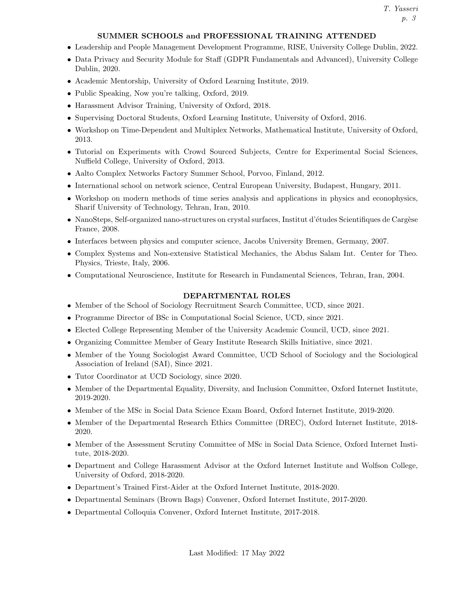# SUMMER SCHOOLS and PROFESSIONAL TRAINING ATTENDED

- Leadership and People Management Development Programme, RISE, University College Dublin, 2022.
- Data Privacy and Security Module for Staff (GDPR Fundamentals and Advanced), University College Dublin, 2020.
- Academic Mentorship, University of Oxford Learning Institute, 2019.
- Public Speaking, Now you're talking, Oxford, 2019.
- Harassment Advisor Training, University of Oxford, 2018.
- Supervising Doctoral Students, Oxford Learning Institute, University of Oxford, 2016.
- Workshop on Time-Dependent and Multiplex Networks, Mathematical Institute, University of Oxford, 2013.
- Tutorial on Experiments with Crowd Sourced Subjects, Centre for Experimental Social Sciences, Nuffield College, University of Oxford, 2013.
- Aalto Complex Networks Factory Summer School, Porvoo, Finland, 2012.
- International school on network science, Central European University, Budapest, Hungary, 2011.
- Workshop on modern methods of time series analysis and applications in physics and econophysics, Sharif University of Technology, Tehran, Iran, 2010.
- NanoSteps, Self-organized nano-structures on crystal surfaces, Institut d'études Scientifiques de Cargèse France, 2008.
- Interfaces between physics and computer science, Jacobs University Bremen, Germany, 2007.
- Complex Systems and Non-extensive Statistical Mechanics, the Abdus Salam Int. Center for Theo. Physics, Trieste, Italy, 2006.
- Computational Neuroscience, Institute for Research in Fundamental Sciences, Tehran, Iran, 2004.

# DEPARTMENTAL ROLES

- Member of the School of Sociology Recruitment Search Committee, UCD, since 2021.
- Programme Director of BSc in Computational Social Science, UCD, since 2021.
- Elected College Representing Member of the University Academic Council, UCD, since 2021.
- Organizing Committee Member of Geary Institute Research Skills Initiative, since 2021.
- Member of the Young Sociologist Award Committee, UCD School of Sociology and the Sociological Association of Ireland (SAI), Since 2021.
- Tutor Coordinator at UCD Sociology, since 2020.
- Member of the Departmental Equality, Diversity, and Inclusion Committee, Oxford Internet Institute, 2019-2020.
- Member of the MSc in Social Data Science Exam Board, Oxford Internet Institute, 2019-2020.
- Member of the Departmental Research Ethics Committee (DREC), Oxford Internet Institute, 2018- 2020.
- Member of the Assessment Scrutiny Committee of MSc in Social Data Science, Oxford Internet Institute, 2018-2020.
- Department and College Harassment Advisor at the Oxford Internet Institute and Wolfson College, University of Oxford, 2018-2020.
- Department's Trained First-Aider at the Oxford Internet Institute, 2018-2020.
- Departmental Seminars (Brown Bags) Convener, Oxford Internet Institute, 2017-2020.
- Departmental Colloquia Convener, Oxford Internet Institute, 2017-2018.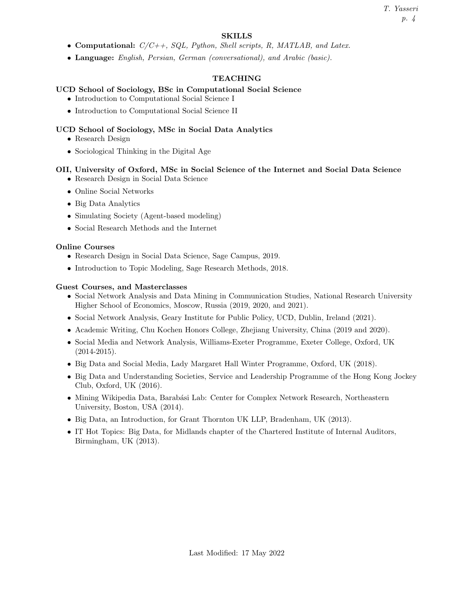# SKILLS

- Computational:  $C/C++$ , SQL, Python, Shell scripts, R, MATLAB, and Latex.
- Language: English, Persian, German (conversational), and Arabic (basic).

# TEACHING

# UCD School of Sociology, BSc in Computational Social Science

- Introduction to Computational Social Science I
- Introduction to Computational Social Science II

# UCD School of Sociology, MSc in Social Data Analytics

- Research Design
- Sociological Thinking in the Digital Age

# OII, University of Oxford, MSc in Social Science of the Internet and Social Data Science

- Research Design in Social Data Science
- Online Social Networks
- Big Data Analytics
- Simulating Society (Agent-based modeling)
- Social Research Methods and the Internet

# Online Courses

- Research Design in Social Data Science, Sage Campus, 2019.
- Introduction to Topic Modeling, Sage Research Methods, 2018.

# Guest Courses, and Masterclasses

- Social Network Analysis and Data Mining in Communication Studies, National Research University Higher School of Economics, Moscow, Russia (2019, 2020, and 2021).
- Social Network Analysis, Geary Institute for Public Policy, UCD, Dublin, Ireland (2021).
- Academic Writing, Chu Kochen Honors College, Zhejiang University, China (2019 and 2020).
- Social Media and Network Analysis, Williams-Exeter Programme, Exeter College, Oxford, UK  $(2014 - 2015).$
- Big Data and Social Media, Lady Margaret Hall Winter Programme, Oxford, UK (2018).
- Big Data and Understanding Societies, Service and Leadership Programme of the Hong Kong Jockey Club, Oxford, UK (2016).
- Mining Wikipedia Data, Barabási Lab: Center for Complex Network Research, Northeastern University, Boston, USA (2014).
- Big Data, an Introduction, for Grant Thornton UK LLP, Bradenham, UK (2013).
- IT Hot Topics: Big Data, for Midlands chapter of the Chartered Institute of Internal Auditors, Birmingham, UK (2013).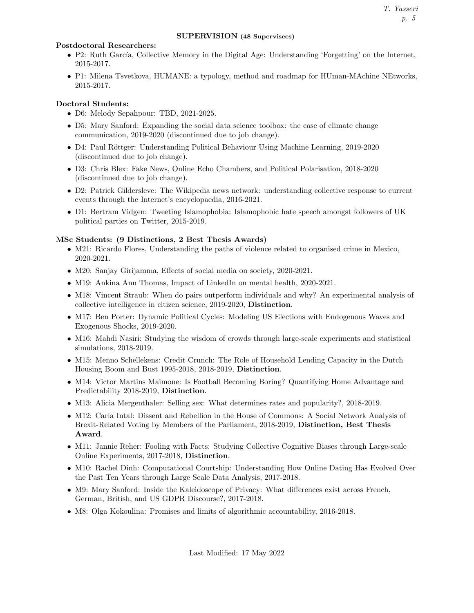#### SUPERVISION (48 Supervisees)

#### Postdoctoral Researchers:

- P2: Ruth García, Collective Memory in the Digital Age: Understanding 'Forgetting' on the Internet, 2015-2017.
- P1: Milena Tsvetkova, HUMANE: a typology, method and roadmap for HUman-MAchine NEtworks, 2015-2017.

# Doctoral Students:

- D6: Melody Sepahpour: TBD, 2021-2025.
- D5: Mary Sanford: Expanding the social data science toolbox: the case of climate change communication, 2019-2020 (discontinued due to job change).
- D4: Paul Röttger: Understanding Political Behaviour Using Machine Learning, 2019-2020 (discontinued due to job change).
- D3: Chris Blex: Fake News, Online Echo Chambers, and Political Polarisation, 2018-2020 (discontinued due to job change).
- D2: Patrick Gildersleve: The Wikipedia news network: understanding collective response to current events through the Internet's encyclopaedia, 2016-2021.
- D1: Bertram Vidgen: Tweeting Islamophobia: Islamophobic hate speech amongst followers of UK political parties on Twitter, 2015-2019.

# MSc Students: (9 Distinctions, 2 Best Thesis Awards)

- M21: Ricardo Flores, Understanding the paths of violence related to organised crime in Mexico, 2020-2021.
- M20: Sanjay Girijamma, Effects of social media on society, 2020-2021.
- M19: Ankina Ann Thomas, Impact of LinkedIn on mental health, 2020-2021.
- M18: Vincent Straub: When do pairs outperform individuals and why? An experimental analysis of collective intelligence in citizen science, 2019-2020, Distinction.
- M17: Ben Porter: Dynamic Political Cycles: Modeling US Elections with Endogenous Waves and Exogenous Shocks, 2019-2020.
- M16: Mahdi Nasiri: Studying the wisdom of crowds through large-scale experiments and statistical simulations, 2018-2019.
- M15: Menno Schellekens: Credit Crunch: The Role of Household Lending Capacity in the Dutch Housing Boom and Bust 1995-2018, 2018-2019, Distinction.
- M14: Victor Martins Maimone: Is Football Becoming Boring? Quantifying Home Advantage and Predictability 2018-2019, Distinction.
- M13: Alicia Mergenthaler: Selling sex: What determines rates and popularity?, 2018-2019.
- M12: Carla Intal: Dissent and Rebellion in the House of Commons: A Social Network Analysis of Brexit-Related Voting by Members of the Parliament, 2018-2019, Distinction, Best Thesis Award.
- M11: Jannie Reher: Fooling with Facts: Studying Collective Cognitive Biases through Large-scale Online Experiments, 2017-2018, Distinction.
- M10: Rachel Dinh: Computational Courtship: Understanding How Online Dating Has Evolved Over the Past Ten Years through Large Scale Data Analysis, 2017-2018.
- M9: Mary Sanford: Inside the Kaleidoscope of Privacy: What differences exist across French, German, British, and US GDPR Discourse?, 2017-2018.
- M8: Olga Kokoulina: Promises and limits of algorithmic accountability, 2016-2018.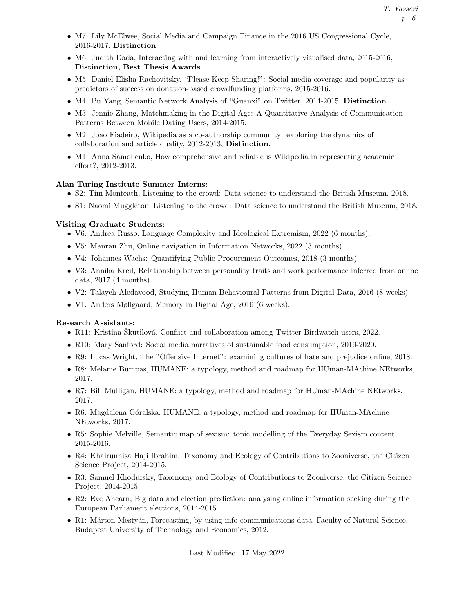- M7: Lily McElwee, Social Media and Campaign Finance in the 2016 US Congressional Cycle, 2016-2017, Distinction.
- M6: Judith Dada, Interacting with and learning from interactively visualised data, 2015-2016, Distinction, Best Thesis Awards.
- M5: Daniel Elisha Rachovitsky, "Please Keep Sharing!": Social media coverage and popularity as predictors of success on donation-based crowdfunding platforms, 2015-2016.
- M4: Pu Yang, Semantic Network Analysis of "Guanxi" on Twitter, 2014-2015, Distinction.
- M3: Jennie Zhang, Matchmaking in the Digital Age: A Quantitative Analysis of Communication Patterns Between Mobile Dating Users, 2014-2015.
- M2: Joao Fiadeiro, Wikipedia as a co-authorship community: exploring the dynamics of collaboration and article quality, 2012-2013, Distinction.
- M1: Anna Samoilenko, How comprehensive and reliable is Wikipedia in representing academic effort?, 2012-2013.

#### Alan Turing Institute Summer Interns:

- S2: Tim Monteath, Listening to the crowd: Data science to understand the British Museum, 2018.
- S1: Naomi Muggleton, Listening to the crowd: Data science to understand the British Museum, 2018.

#### Visiting Graduate Students:

- V6: Andrea Russo, Language Complexity and Ideological Extremism, 2022 (6 months).
- V5: Manran Zhu, Online navigation in Information Networks, 2022 (3 months).
- V4: Johannes Wachs: Quantifying Public Procurement Outcomes, 2018 (3 months).
- V3: Annika Kreil, Relationship between personality traits and work performance inferred from online data, 2017 (4 months).
- V2: Talayeh Aledavood, Studying Human Behavioural Patterns from Digital Data, 2016 (8 weeks).
- V1: Anders Møllgaard, Memory in Digital Age, 2016 (6 weeks).

#### Research Assistants:

- R11: Kristína Skutilová, Conflict and collaboration among Twitter Birdwatch users, 2022.
- R10: Mary Sanford: Social media narratives of sustainable food consumption, 2019-2020.
- R9: Lucas Wright, The "Offensive Internet": examining cultures of hate and prejudice online, 2018.
- R8: Melanie Bumpas, HUMANE: a typology, method and roadmap for HUman-MAchine NEtworks, 2017.
- R7: Bill Mulligan, HUMANE: a typology, method and roadmap for HUman-MAchine NEtworks, 2017.
- R6: Magdalena Góralska, HUMANE: a typology, method and roadmap for HUman-MAchine NEtworks, 2017.
- R5: Sophie Melville, Semantic map of sexism: topic modelling of the Everyday Sexism content, 2015-2016.
- R4: Khairunnisa Haji Ibrahim, Taxonomy and Ecology of Contributions to Zooniverse, the Citizen Science Project, 2014-2015.
- R3: Samuel Khodursky, Taxonomy and Ecology of Contributions to Zooniverse, the Citizen Science Project, 2014-2015.
- R2: Eve Ahearn, Big data and election prediction: analysing online information seeking during the European Parliament elections, 2014-2015.
- R1: Márton Mestyán, Forecasting, by using info-communications data, Faculty of Natural Science, Budapest University of Technology and Economics, 2012.

Last Modified: 17 May 2022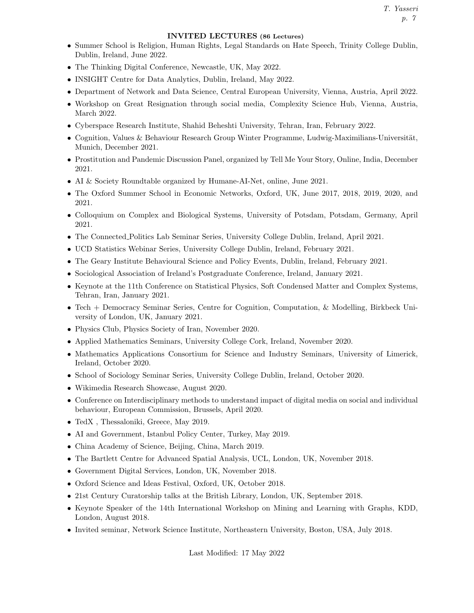#### INVITED LECTURES (86 Lectures)

- Summer School is Religion, Human Rights, Legal Standards on Hate Speech, Trinity College Dublin, Dublin, Ireland, June 2022.
- The Thinking Digital Conference, Newcastle, UK, May 2022.
- INSIGHT Centre for Data Analytics, Dublin, Ireland, May 2022.
- Department of Network and Data Science, Central European University, Vienna, Austria, April 2022.
- Workshop on Great Resignation through social media, Complexity Science Hub, Vienna, Austria, March 2022.
- Cyberspace Research Institute, Shahid Beheshti University, Tehran, Iran, February 2022.
- Cognition, Values & Behaviour Research Group Winter Programme, Ludwig-Maximilians-Universität, Munich, December 2021.
- Prostitution and Pandemic Discussion Panel, organized by Tell Me Your Story, Online, India, December 2021.
- AI & Society Roundtable organized by Humane-AI-Net, online, June 2021.
- The Oxford Summer School in Economic Networks, Oxford, UK, June 2017, 2018, 2019, 2020, and 2021.
- Colloquium on Complex and Biological Systems, University of Potsdam, Potsdam, Germany, April 2021.
- The Connected Politics Lab Seminar Series, University College Dublin, Ireland, April 2021.
- UCD Statistics Webinar Series, University College Dublin, Ireland, February 2021.
- The Geary Institute Behavioural Science and Policy Events, Dublin, Ireland, February 2021.
- Sociological Association of Ireland's Postgraduate Conference, Ireland, January 2021.
- Keynote at the 11th Conference on Statistical Physics, Soft Condensed Matter and Complex Systems, Tehran, Iran, January 2021.
- Tech + Democracy Seminar Series, Centre for Cognition, Computation, & Modelling, Birkbeck University of London, UK, January 2021.
- Physics Club, Physics Society of Iran, November 2020.
- Applied Mathematics Seminars, University College Cork, Ireland, November 2020.
- Mathematics Applications Consortium for Science and Industry Seminars, University of Limerick, Ireland, October 2020.
- School of Sociology Seminar Series, University College Dublin, Ireland, October 2020.
- Wikimedia Research Showcase, August 2020.
- Conference on Interdisciplinary methods to understand impact of digital media on social and individual behaviour, European Commission, Brussels, April 2020.
- TedX , Thessaloniki, Greece, May 2019.
- AI and Government, Istanbul Policy Center, Turkey, May 2019.
- China Academy of Science, Beijing, China, March 2019.
- The Bartlett Centre for Advanced Spatial Analysis, UCL, London, UK, November 2018.
- Government Digital Services, London, UK, November 2018.
- Oxford Science and Ideas Festival, Oxford, UK, October 2018.
- 21st Century Curatorship talks at the British Library, London, UK, September 2018.
- Keynote Speaker of the 14th International Workshop on Mining and Learning with Graphs, KDD, London, August 2018.
- Invited seminar, Network Science Institute, Northeastern University, Boston, USA, July 2018.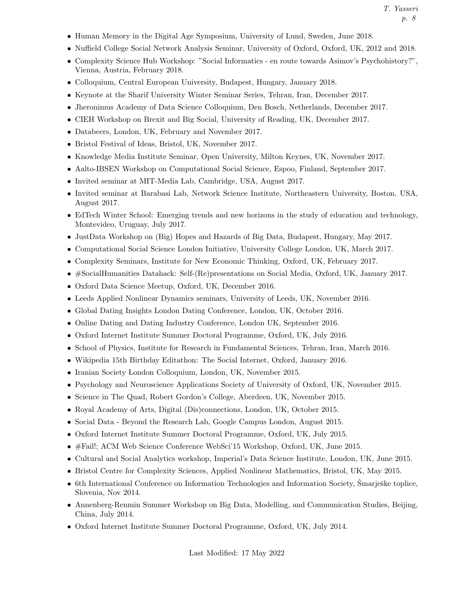T. Yasseri p. 8

- Human Memory in the Digital Age Symposium, University of Lund, Sweden, June 2018.
- Nuffield College Social Network Analysis Seminar, University of Oxford, Oxford, UK, 2012 and 2018.
- Complexity Science Hub Workshop: "Social Informatics en route towards Asimov's Psychohistory?", Vienna, Austria, February 2018.
- Colloquium, Central European University, Budapest, Hungary, January 2018.
- Keynote at the Sharif University Winter Seminar Series, Tehran, Iran, December 2017.
- Jheronimus Academy of Data Science Colloquium, Den Bosch, Netherlands, December 2017.
- CIEH Workshop on Brexit and Big Social, University of Reading, UK, December 2017.
- Databeers, London, UK, February and November 2017.
- Bristol Festival of Ideas, Bristol, UK, November 2017.
- Knowledge Media Institute Seminar, Open University, Milton Keynes, UK, November 2017.
- Aalto-IBSEN Workshop on Computational Social Science, Espoo, Finland, September 2017.
- Invited seminar at MIT-Media Lab, Cambridge, USA, August 2017.
- Invited seminar at Barabasi Lab, Network Science Institute, Northeastern University, Boston, USA, August 2017.
- EdTech Winter School: Emerging trends and new horizons in the study of education and technology, Montevideo, Uruguay, July 2017.
- JustData Workshop on (Big) Hopes and Hazards of Big Data, Budapest, Hungary, May 2017.
- Computational Social Science London Initiative, University College London, UK, March 2017.
- Complexity Seminars, Institute for New Economic Thinking, Oxford, UK, February 2017.
- #SocialHumanities Datahack: Self-(Re)presentations on Social Media, Oxford, UK, January 2017.
- Oxford Data Science Meetup, Oxford, UK, December 2016.
- Leeds Applied Nonlinear Dynamics seminars, University of Leeds, UK, November 2016.
- Global Dating Insights London Dating Conference, London, UK, October 2016.
- Online Dating and Dating Industry Conference, London UK, September 2016.
- Oxford Internet Institute Summer Doctoral Programme, Oxford, UK, July 2016.
- School of Physics, Institute for Research in Fundamental Sciences, Tehran, Iran, March 2016.
- Wikipedia 15th Birthday Editathon: The Social Internet, Oxford, January 2016.
- Iranian Society London Colloquium, London, UK, November 2015.
- Psychology and Neuroscience Applications Society of University of Oxford, UK, November 2015.
- Science in The Quad, Robert Gordon's College, Aberdeen, UK, November 2015.
- Royal Academy of Arts, Digital (Dis)connections, London, UK, October 2015.
- Social Data Beyond the Research Lab, Google Campus London, August 2015.
- Oxford Internet Institute Summer Doctoral Programme, Oxford, UK, July 2015.
- #Fail!; ACM Web Science Conference WebSci'15 Workshop, Oxford, UK, June 2015.
- Cultural and Social Analytics workshop, Imperial's Data Science Institute, London, UK, June 2015.
- Bristol Centre for Complexity Sciences, Applied Nonlinear Mathematics, Bristol, UK, May 2015.
- 6th International Conference on Information Technologies and Information Society, Smarješke toplice, Slovenia, Nov 2014.
- Annenberg-Renmin Summer Workshop on Big Data, Modelling, and Communication Studies, Beijing, China, July 2014.
- Oxford Internet Institute Summer Doctoral Programme, Oxford, UK, July 2014.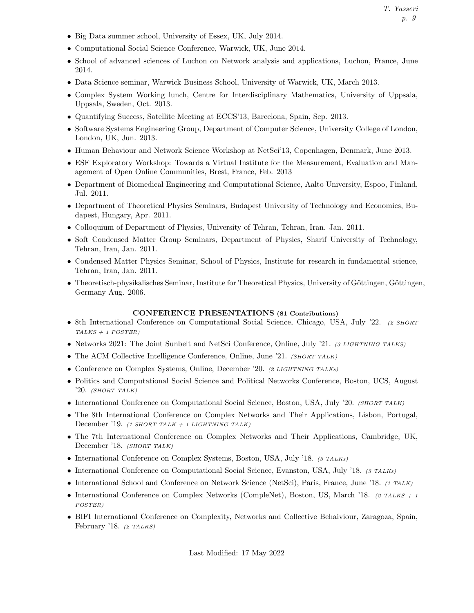- Big Data summer school, University of Essex, UK, July 2014.
- Computational Social Science Conference, Warwick, UK, June 2014.
- School of advanced sciences of Luchon on Network analysis and applications, Luchon, France, June 2014.
- Data Science seminar, Warwick Business School, University of Warwick, UK, March 2013.
- Complex System Working lunch, Centre for Interdisciplinary Mathematics, University of Uppsala, Uppsala, Sweden, Oct. 2013.
- Quantifying Success, Satellite Meeting at ECCS'13, Barcelona, Spain, Sep. 2013.
- Software Systems Engineering Group, Department of Computer Science, University College of London, London, UK, Jun. 2013.
- Human Behaviour and Network Science Workshop at NetSci'13, Copenhagen, Denmark, June 2013.
- ESF Exploratory Workshop: Towards a Virtual Institute for the Measurement, Evaluation and Management of Open Online Communities, Brest, France, Feb. 2013
- Department of Biomedical Engineering and Computational Science, Aalto University, Espoo, Finland, Jul. 2011.
- Department of Theoretical Physics Seminars, Budapest University of Technology and Economics, Budapest, Hungary, Apr. 2011.
- Colloquium of Department of Physics, University of Tehran, Tehran, Iran. Jan. 2011.
- Soft Condensed Matter Group Seminars, Department of Physics, Sharif University of Technology, Tehran, Iran, Jan. 2011.
- Condensed Matter Physics Seminar, School of Physics, Institute for research in fundamental science, Tehran, Iran, Jan. 2011.
- Theoretisch-physikalisches Seminar, Institute for Theoretical Physics, University of Göttingen, Göttingen, Germany Aug. 2006.

#### CONFERENCE PRESENTATIONS (81 Contributions)

- 8th International Conference on Computational Social Science, Chicago, USA, July '22. (2 SHORT TALKS + 1 POSTER)
- Networks 2021: The Joint Sunbelt and NetSci Conference, Online, July '21. (3 LIGHTNING TALKS)
- The ACM Collective Intelligence Conference, Online, June '21. (SHORT TALK)
- Conference on Complex Systems, Online, December '20. (2 LIGHTNING TALKs)
- Politics and Computational Social Science and Political Networks Conference, Boston, UCS, August '20.  $(SHORT TALK)$
- International Conference on Computational Social Science, Boston, USA, July '20. (SHORT TALK)
- The 8th International Conference on Complex Networks and Their Applications, Lisbon, Portugal, December '19. (1 SHORT TALK + 1 LIGHTNING TALK)
- The 7th International Conference on Complex Networks and Their Applications, Cambridge, UK, December '18. (SHORT TALK)
- International Conference on Complex Systems, Boston, USA, July '18. (3 TALKs)
- International Conference on Computational Social Science, Evanston, USA, July '18. (3 TALKs)
- International School and Conference on Network Science (NetSci), Paris, France, June '18. (1 TALK)
- International Conference on Complex Networks (CompleNet), Boston, US, March '18. (2 TALKS + 1) POSTER)
- BIFI International Conference on Complexity, Networks and Collective Behaiviour, Zaragoza, Spain, February '18. (2 TALKS)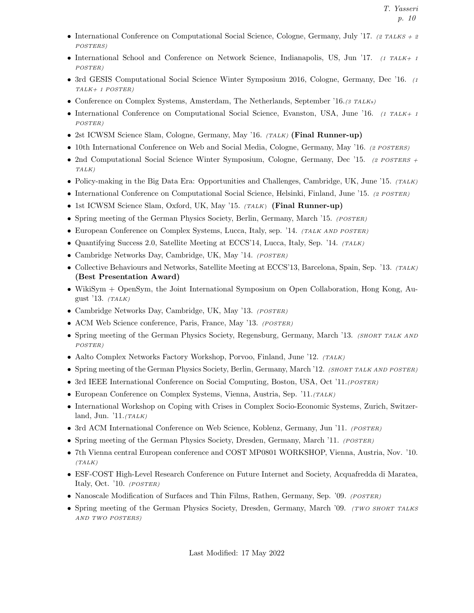- International Conference on Computational Social Science, Cologne, Germany, July '17. (2 TALKS + 2) POSTERS)
- International School and Conference on Network Science, Indianapolis, US, Jun '17.  $(1 TALK + 1)$ POSTER)
- 3rd GESIS Computational Social Science Winter Symposium 2016, Cologne, Germany, Dec '16. (1) TALK+ 1 POSTER)
- Conference on Complex Systems, Amsterdam, The Netherlands, September '16.(3 TALKs)
- International Conference on Computational Social Science, Evanston, USA, June '16.  $(1 TALK + 1)$ POSTER)
- 2st ICWSM Science Slam, Cologne, Germany, May '16. (TALK) (Final Runner-up)
- 10th International Conference on Web and Social Media, Cologne, Germany, May '16. (2 POSTERS)
- 2nd Computational Social Science Winter Symposium, Cologne, Germany, Dec '15. (2 POSTERS + TALK)
- Policy-making in the Big Data Era: Opportunities and Challenges, Cambridge, UK, June '15. (TALK)
- International Conference on Computational Social Science, Helsinki, Finland, June '15. (2 POSTER)
- 1st ICWSM Science Slam, Oxford, UK, May '15. (TALK) (Final Runner-up)
- Spring meeting of the German Physics Society, Berlin, Germany, March '15. (POSTER)
- European Conference on Complex Systems, Lucca, Italy, sep. '14. *(TALK AND POSTER)*
- Quantifying Success 2.0, Satellite Meeting at ECCS'14, Lucca, Italy, Sep. '14. (TALK)
- Cambridge Networks Day, Cambridge, UK, May '14. (POSTER)
- Collective Behaviours and Networks, Satellite Meeting at ECCS'13, Barcelona, Spain, Sep. '13. (TALK) (Best Presentation Award)
- WikiSym + OpenSym, the Joint International Symposium on Open Collaboration, Hong Kong, August '13.  $(TALK)$
- Cambridge Networks Day, Cambridge, UK, May '13. (POSTER)
- ACM Web Science conference, Paris, France, May '13. (POSTER)
- Spring meeting of the German Physics Society, Regensburg, Germany, March '13. (SHORT TALK AND POSTER)
- Aalto Complex Networks Factory Workshop, Porvoo, Finland, June '12. (TALK)
- Spring meeting of the German Physics Society, Berlin, Germany, March '12. (SHORT TALK AND POSTER)
- 3rd IEEE International Conference on Social Computing, Boston, USA, Oct '11. (POSTER)
- European Conference on Complex Systems, Vienna, Austria, Sep. '11. (TALK)
- International Workshop on Coping with Crises in Complex Socio-Economic Systems, Zurich, Switzerland, Jun.  $'11.(TALK)$
- 3rd ACM International Conference on Web Science, Koblenz, Germany, Jun '11. (POSTER)
- Spring meeting of the German Physics Society, Dresden, Germany, March '11. (POSTER)
- 7th Vienna central European conference and COST MP0801 WORKSHOP, Vienna, Austria, Nov. '10.  $(TALK)$
- ESF-COST High-Level Research Conference on Future Internet and Society, Acquafredda di Maratea, Italy, Oct. '10. (POSTER)
- Nanoscale Modification of Surfaces and Thin Films, Rathen, Germany, Sep. '09. (POSTER)
- Spring meeting of the German Physics Society, Dresden, Germany, March '09. (TWO SHORT TALKS AND TWO POSTERS)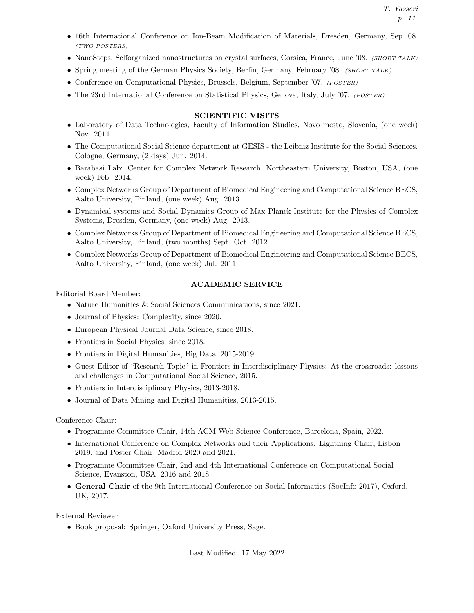T. Yasseri p. 11

- 16th International Conference on Ion-Beam Modification of Materials, Dresden, Germany, Sep '08. (TWO POSTERS)
- NanoSteps, Selforganized nanostructures on crystal surfaces, Corsica, France, June '08. (SHORT TALK)
- Spring meeting of the German Physics Society, Berlin, Germany, February '08. (SHORT TALK)
- Conference on Computational Physics, Brussels, Belgium, September '07. (POSTER)
- The 23rd International Conference on Statistical Physics, Genova, Italy, July '07. (POSTER)

# SCIENTIFIC VISITS

- Laboratory of Data Technologies, Faculty of Information Studies, Novo mesto, Slovenia, (one week) Nov. 2014.
- The Computational Social Science department at GESIS the Leibniz Institute for the Social Sciences, Cologne, Germany, (2 days) Jun. 2014.
- Barabási Lab: Center for Complex Network Research, Northeastern University, Boston, USA, (one week) Feb. 2014.
- Complex Networks Group of Department of Biomedical Engineering and Computational Science BECS, Aalto University, Finland, (one week) Aug. 2013.
- Dynamical systems and Social Dynamics Group of Max Planck Institute for the Physics of Complex Systems, Dresden, Germany, (one week) Aug. 2013.
- Complex Networks Group of Department of Biomedical Engineering and Computational Science BECS, Aalto University, Finland, (two months) Sept. Oct. 2012.
- Complex Networks Group of Department of Biomedical Engineering and Computational Science BECS, Aalto University, Finland, (one week) Jul. 2011.

# ACADEMIC SERVICE

Editorial Board Member:

- Nature Humanities & Social Sciences Communications, since 2021.
- Journal of Physics: Complexity, since 2020.
- European Physical Journal Data Science, since 2018.
- Frontiers in Social Physics, since 2018.
- Frontiers in Digital Humanities, Big Data, 2015-2019.
- Guest Editor of "Research Topic" in Frontiers in Interdisciplinary Physics: At the crossroads: lessons and challenges in Computational Social Science, 2015.
- Frontiers in Interdisciplinary Physics, 2013-2018.
- Journal of Data Mining and Digital Humanities, 2013-2015.

Conference Chair:

- Programme Committee Chair, 14th ACM Web Science Conference, Barcelona, Spain, 2022.
- International Conference on Complex Networks and their Applications: Lightning Chair, Lisbon 2019, and Poster Chair, Madrid 2020 and 2021.
- Programme Committee Chair, 2nd and 4th International Conference on Computational Social Science, Evanston, USA, 2016 and 2018.
- General Chair of the 9th International Conference on Social Informatics (SocInfo 2017), Oxford, UK, 2017.

External Reviewer:

• Book proposal: Springer, Oxford University Press, Sage.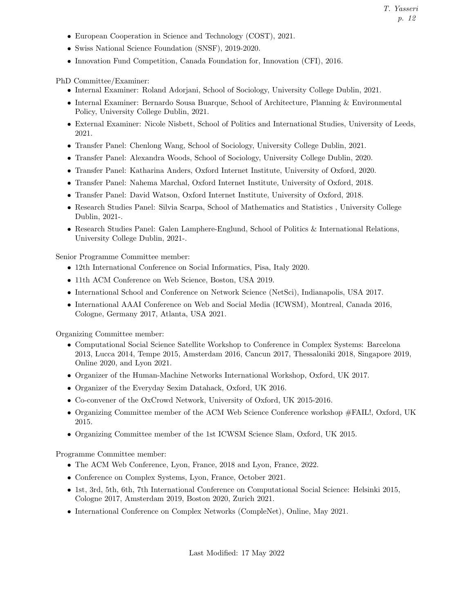- European Cooperation in Science and Technology (COST), 2021.
- Swiss National Science Foundation (SNSF), 2019-2020.
- Innovation Fund Competition, Canada Foundation for, Innovation (CFI), 2016.

PhD Committee/Examiner:

- Internal Examiner: Roland Adorjani, School of Sociology, University College Dublin, 2021.
- Internal Examiner: Bernardo Sousa Buarque, School of Architecture, Planning & Environmental Policy, University College Dublin, 2021.
- External Examiner: Nicole Nisbett, School of Politics and International Studies, University of Leeds, 2021.
- Transfer Panel: Chenlong Wang, School of Sociology, University College Dublin, 2021.
- Transfer Panel: Alexandra Woods, School of Sociology, University College Dublin, 2020.
- Transfer Panel: Katharina Anders, Oxford Internet Institute, University of Oxford, 2020.
- Transfer Panel: Nahema Marchal, Oxford Internet Institute, University of Oxford, 2018.
- Transfer Panel: David Watson, Oxford Internet Institute, University of Oxford, 2018.
- Research Studies Panel: Silvia Scarpa, School of Mathematics and Statistics , University College Dublin, 2021-.
- Research Studies Panel: Galen Lamphere-Englund, School of Politics & International Relations, University College Dublin, 2021-.

Senior Programme Committee member:

- 12th International Conference on Social Informatics, Pisa, Italy 2020.
- 11th ACM Conference on Web Science, Boston, USA 2019.
- International School and Conference on Network Science (NetSci), Indianapolis, USA 2017.
- International AAAI Conference on Web and Social Media (ICWSM), Montreal, Canada 2016, Cologne, Germany 2017, Atlanta, USA 2021.

Organizing Committee member:

- Computational Social Science Satellite Workshop to Conference in Complex Systems: Barcelona 2013, Lucca 2014, Tempe 2015, Amsterdam 2016, Cancun 2017, Thessaloniki 2018, Singapore 2019, Online 2020, and Lyon 2021.
- Organizer of the Human-Machine Networks International Workshop, Oxford, UK 2017.
- Organizer of the Everyday Sexim Datahack, Oxford, UK 2016.
- Co-convener of the OxCrowd Network, University of Oxford, UK 2015-2016.
- Organizing Committee member of the ACM Web Science Conference workshop #FAIL!, Oxford, UK 2015.
- Organizing Committee member of the 1st ICWSM Science Slam, Oxford, UK 2015.

Programme Committee member:

- The ACM Web Conference, Lyon, France, 2018 and Lyon, France, 2022.
- Conference on Complex Systems, Lyon, France, October 2021.
- 1st, 3rd, 5th, 6th, 7th International Conference on Computational Social Science: Helsinki 2015, Cologne 2017, Amsterdam 2019, Boston 2020, Zurich 2021.
- International Conference on Complex Networks (CompleNet), Online, May 2021.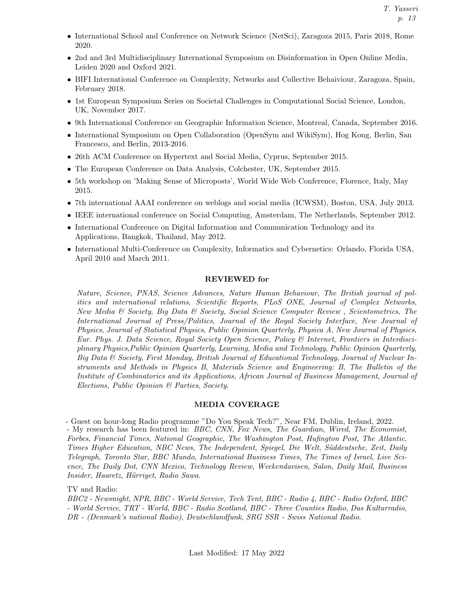- International School and Conference on Network Science (NetSci), Zaragoza 2015, Paris 2018, Rome 2020.
- 2nd and 3rd Multidisciplinary International Symposium on Disinformation in Open Online Media, Leiden 2020 and Oxford 2021.
- BIFI International Conference on Complexity, Networks and Collective Behaiviour, Zaragoza, Spain, February 2018.
- 1st European Symposium Series on Societal Challenges in Computational Social Science, London, UK, November 2017.
- 9th International Conference on Geographic Information Science, Montreal, Canada, September 2016.
- International Symposium on Open Collaboration (OpenSym and WikiSym), Hog Kong, Berlin, San Francesco, and Berlin, 2013-2016.
- 26th ACM Conference on Hypertext and Social Media, Cyprus, September 2015.
- The European Conference on Data Analysis, Colchester, UK, September 2015.
- 5th workshop on 'Making Sense of Microposts', World Wide Web Conference, Florence, Italy, May 2015.
- 7th international AAAI conference on weblogs and social media (ICWSM), Boston, USA, July 2013.
- IEEE international conference on Social Computing, Amsterdam, The Netherlands, September 2012.
- International Conference on Digital Information and Communication Technology and its Applications, Bangkok, Thailand, May 2012.
- International Multi-Conference on Complexity, Informatics and Cybernetics: Orlando, Florida USA, April 2010 and March 2011.

# REVIEWED for

Nature, Science, PNAS, Science Advances, Nature Human Behaviour, The British journal of politics and international relations, Scientific Reports, PLoS ONE, Journal of Complex Networks, New Media & Society, Big Data & Society, Social Science Computer Review , Scientometrics, The International Journal of Press/Politics, Journal of the Royal Society Interface, New Journal of Physics, Journal of Statistical Physics, Public Opinion Quarterly, Physica A, New Journal of Physics, Eur. Phys. J. Data Science, Royal Society Open Science, Policy & Internet, Frontiers in Interdisciplinary Physics,Public Opinion Quarterly, Learning, Media and Technology, Public Opinion Quarterly, Big Data & Society, First Monday, British Journal of Educational Technology, Journal of Nuclear Instruments and Methods in Physics B, Materials Science and Engineering: B, The Bulletin of the Institute of Combinatorics and its Applications, African Journal of Business Management, Journal of Elections, Public Opinion & Parties, Society.

# MEDIA COVERAGE

- Guest on hour-long Radio programme "Do You Speak Tech?", Near FM, Dublin, Ireland, 2022. - My research has been featured in: BBC, CNN, Fox News, The Guardian, Wired, The Economist, Forbes, Financial Times, National Geographic, The Washington Post, Hufington Post, The Atlantic, Times Higher Education, NBC News, The Independent, Spiegel, Die Welt, Süddeutsche, Zeit, Daily Telegraph, Toronto Star, BBC Mundo, International Business Times, The Times of Israel, Live Science, The Daily Dot, CNN Mexico, Technology Review, Weekendavisen, Salon, Daily Mail, Business Insider, Haaretz, Hürriyet, Radio Sawa.

TV and Radio:

BBC2 - Newsnight, NPR, BBC - World Service, Tech Tent, BBC - Radio 4, BBC - Radio Oxford, BBC - World Service, TRT - World, BBC - Radio Scotland, BBC - Three Counties Radio, Das Kulturradio, DR - (Denmark's national Radio), Deutschlandfunk, SRG SSR - Swiss National Radio.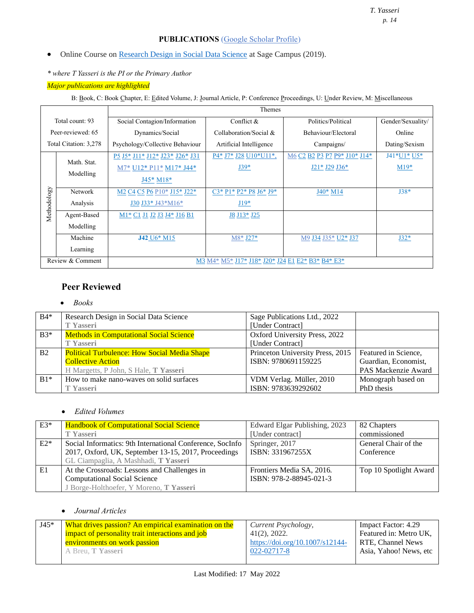# **PUBLICATIONS** (Google Scholar Profile)

- Online Course on Research Design in Social Data Science at Sage Campus (2019).
- *\* where T Yasseri is the PI or the Primary Author*

# *Major publications are highlighted*

B: Book, C: Book Chapter, E: Edited Volume, J: Journal Article, P: Conference Proceedings, U: Under Review, M: Miscellaneous

|                                                                      |                       | Themes                                                                                                                       |                         |                              |                   |
|----------------------------------------------------------------------|-----------------------|------------------------------------------------------------------------------------------------------------------------------|-------------------------|------------------------------|-------------------|
|                                                                      | Total count: 93       | Social Contagion/Information                                                                                                 | Conflict $&$            | Politics/Political           | Gender/Sexuality/ |
|                                                                      | Peer-reviewed: 65     | Dynamics/Social                                                                                                              | Collaboration/Social &  | Behaviour/Electoral          | Online            |
|                                                                      | Total Citation: 3,278 | Psychology/Collective Behaviour                                                                                              | Artificial Intelligence | Campaigns/                   | Dating/Sexism     |
|                                                                      |                       | P5 J5* J11* J12* J23* J26* J31                                                                                               | P4* J7* J28 U10*U11*,   | M6 C2 B2 P3 P7 P9* J10* J14* | J41*U1* U5*       |
|                                                                      | Math. Stat.           | M7* U12* P11* M17* J44*                                                                                                      | $J39*$                  | J21* J29 J36*                | $M19*$            |
|                                                                      | Modelling             | $J45*M18*$                                                                                                                   |                         |                              |                   |
|                                                                      | Network               | M2 C4 C5 P6 P10* J15* J22*                                                                                                   | $C3*P1*P2*P8J6*J9*$     | J40* M14                     | $J38*$            |
| Methodology                                                          | Analysis              | J30 J33* J43*M16*                                                                                                            | $J19*$                  |                              |                   |
|                                                                      | Agent-Based           | M <sub>1</sub> * C <sub>1</sub> J <sub>1</sub> J <sub>2</sub> J <sub>3</sub> J <sub>4</sub> * J <sub>16</sub> B <sub>1</sub> | J8 J13* J25             |                              |                   |
|                                                                      | Modelling             |                                                                                                                              |                         |                              |                   |
|                                                                      | Machine               | <b>J42</b> U6* M15                                                                                                           | M8* J27*                | M9 J34 J35* U2* J37          | $J32*$            |
|                                                                      | Learning              |                                                                                                                              |                         |                              |                   |
| Review & Comment<br>M3 M4* M5* J17* J18* J20* J24 E1 E2* B3* B4* E3* |                       |                                                                                                                              |                         |                              |                   |

# **Peer Reviewed**

# • *Books*

| $B4*$          | Research Design in Social Data Science              | Sage Publications Ltd., 2022     |                      |
|----------------|-----------------------------------------------------|----------------------------------|----------------------|
|                | <b>T</b> Yasseri                                    | [Under Contract]                 |                      |
| $B3*$          | <b>Methods in Computational Social Science</b>      | Oxford University Press, 2022    |                      |
|                | <b>T</b> Yasseri                                    | [Under Contract]                 |                      |
| B <sub>2</sub> | <b>Political Turbulence: How Social Media Shape</b> | Princeton University Press, 2015 | Featured in Science, |
|                | <b>Collective Action</b>                            | ISBN: 9780691159225              | Guardian, Economist, |
|                | H Margetts, P John, S Hale, T Yasseri               |                                  | PAS Mackenzie Award  |
| $B1*$          | How to make nano-waves on solid surfaces            | VDM Verlag. Müller, 2010         | Monograph based on   |
|                | <b>T</b> Yasseri                                    | ISBN: 9783639292602              | PhD thesis           |

# • *Edited Volumes*

| $E3*$ | <b>Handbook of Computational Social Science</b>           | Edward Elgar Publishing, 2023 | 82 Chapters            |
|-------|-----------------------------------------------------------|-------------------------------|------------------------|
|       | <b>T</b> Yasseri                                          | [Under contract]              | commissioned           |
| $E2*$ | Social Informatics: 9th International Conference, SocInfo | Springer, 2017                | General Chair of the   |
|       | 2017, Oxford, UK, September 13-15, 2017, Proceedings      | ISBN: 331967255X              | Conference             |
|       | GL Ciampaglia, A Mashhadi, T Yasseri                      |                               |                        |
| E1    | At the Crossroads: Lessons and Challenges in              | Frontiers Media SA, 2016.     | Top 10 Spotlight Award |
|       | <b>Computational Social Science</b>                       | ISBN: 978-2-88945-021-3       |                        |
|       | J Borge-Holthoefer, Y Moreno, T Yasseri                   |                               |                        |

# • *Journal Articles*

| $J45*$ | What drives passion? An empirical examination on the | Current Psychology,             | Impact Factor: 4.29    |
|--------|------------------------------------------------------|---------------------------------|------------------------|
|        | impact of personality trait interactions and job     | $41(2)$ , 2022.                 | Featured in: Metro UK, |
|        | environments on work passion                         | https://doi.org/10.1007/s12144- | RTE, Channel News      |
|        | A Breu. T Yasseri                                    | 022-02717-8                     | Asia, Yahoo! News, etc |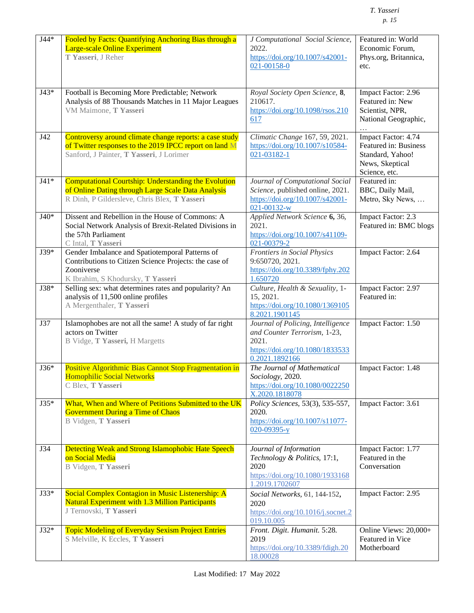| $J44*$ | Fooled by Facts: Quantifying Anchoring Bias through a<br><b>Large-scale Online Experiment</b><br>T Yasseri, J Reher                                           | J Computational Social Science,<br>2022.<br>https://doi.org/10.1007/s42001-<br>021-00158-0                                      | Featured in: World<br>Economic Forum,<br>Phys.org, Britannica,<br>etc.                               |
|--------|---------------------------------------------------------------------------------------------------------------------------------------------------------------|---------------------------------------------------------------------------------------------------------------------------------|------------------------------------------------------------------------------------------------------|
| $J43*$ | Football is Becoming More Predictable; Network<br>Analysis of 88 Thousands Matches in 11 Major Leagues<br>VM Maimone, T Yasseri                               | Royal Society Open Science, 8,<br>210617.<br>https://doi.org/10.1098/rsos.210<br>617                                            | Impact Factor: 2.96<br>Featured in: New<br>Scientist, NPR,<br>National Geographic,                   |
| J42    | Controversy around climate change reports: a case study<br>of Twitter responses to the 2019 IPCC report on land M<br>Sanford, J Painter, T Yasseri, J Lorimer | Climatic Change 167, 59, 2021.<br>https://doi.org/10.1007/s10584-<br>021-03182-1                                                | Impact Factor: 4.74<br>Featured in: Business<br>Standard, Yahoo!<br>News, Skeptical<br>Science, etc. |
| $J41*$ | Computational Courtship: Understanding the Evolution<br>of Online Dating through Large Scale Data Analysis<br>R Dinh, P Gildersleve, Chris Blex, T Yasseri    | Journal of Computational Social<br>Science, published online, 2021.<br>https://doi.org/10.1007/s42001-<br>021-00132-w           | Featured in:<br>BBC, Daily Mail,<br>Metro, Sky News,                                                 |
| $J40*$ | Dissent and Rebellion in the House of Commons: A<br>Social Network Analysis of Brexit-Related Divisions in<br>the 57th Parliament<br>C Intal, T Yasseri       | Applied Network Science 6, 36,<br>2021.<br>https://doi.org/10.1007/s41109-<br>021-00379-2                                       | Impact Factor: 2.3<br>Featured in: BMC blogs                                                         |
| J39*   | Gender Imbalance and Spatiotemporal Patterns of<br>Contributions to Citizen Science Projects: the case of<br>Zooniverse<br>K Ibrahim, S Khodursky, T Yasseri  | Frontiers in Social Physics<br>9:650720, 2021.<br>https://doi.org/10.3389/fphy.202<br>1.650720                                  | Impact Factor: 2.64                                                                                  |
| J38*   | Selling sex: what determines rates and popularity? An<br>analysis of 11,500 online profiles<br>A Mergenthaler, T Yasseri                                      | Culture, Health & Sexuality, 1-<br>15, 2021.<br>https://doi.org/10.1080/1369105<br>8.2021.1901145                               | Impact Factor: 2.97<br>Featured in:                                                                  |
| J37    | Islamophobes are not all the same! A study of far right<br>actors on Twitter<br>B Vidge, T Yasseri, H Margetts                                                | Journal of Policing, Intelligence<br>and Counter Terrorism, 1-23,<br>2021.<br>https://doi.org/10.1080/1833533<br>0.2021.1892166 | Impact Factor: 1.50                                                                                  |
| J36*   | Positive Algorithmic Bias Cannot Stop Fragmentation in<br><b>Homophilic Social Networks</b><br>C Blex, T Yasseri                                              | The Journal of Mathematical<br>Sociology, 2020.<br>https://doi.org/10.1080/0022250<br>X.2020.1818078                            | Impact Factor: 1.48                                                                                  |
| J35*   | What, When and Where of Petitions Submitted to the UK<br><b>Government During a Time of Chaos</b><br>B Vidgen, T Yasseri                                      | Policy Sciences, 53(3), 535-557,<br>2020.<br>https://doi.org/10.1007/s11077-<br>020-09395-y                                     | Impact Factor: 3.61                                                                                  |
| J34    | Detecting Weak and Strong Islamophobic Hate Speech<br>on Social Media<br>B Vidgen, T Yasseri                                                                  | Journal of Information<br>Technology & Politics, 17:1,<br>2020<br>https://doi.org/10.1080/1933168<br>1.2019.1702607             | Impact Factor: 1.77<br>Featured in the<br>Conversation                                               |
| $J33*$ | Social Complex Contagion in Music Listenership: A<br><b>Natural Experiment with 1.3 Million Participants</b><br>J Ternovski, T Yasseri                        | Social Networks, 61, 144-152,<br>2020<br>https://doi.org/10.1016/j.socnet.2<br>019.10.005                                       | Impact Factor: 2.95                                                                                  |
| $J32*$ | <b>Topic Modeling of Everyday Sexism Project Entries</b><br>S Melville, K Eccles, T Yasseri                                                                   | Front. Digit. Humanit. 5:28.<br>2019<br>https://doi.org/10.3389/fdigh.20<br>18.00028                                            | Online Views: 20,000+<br>Featured in Vice<br>Motherboard                                             |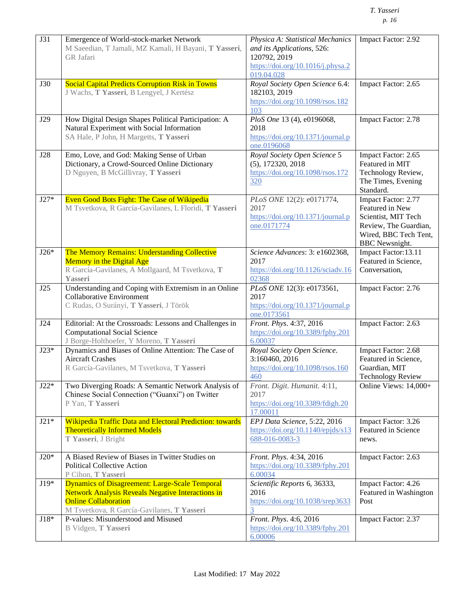| <b>J31</b> | Emergence of World-stock-market Network<br>M Saeedian, T Jamali, MZ Kamali, H Bayani, T Yasseri,<br>GR Jafari                                                                           | Physica A: Statistical Mechanics<br>and its Applications, 526:<br>120792, 2019<br>https://doi.org/10.1016/j.physa.2<br>019.04.028 | Impact Factor: 2.92                                                                                                                      |
|------------|-----------------------------------------------------------------------------------------------------------------------------------------------------------------------------------------|-----------------------------------------------------------------------------------------------------------------------------------|------------------------------------------------------------------------------------------------------------------------------------------|
| <b>J30</b> | <b>Social Capital Predicts Corruption Risk in Towns</b><br>J Wachs, T Yasseri, B Lengyel, J Kertész                                                                                     | Royal Society Open Science 6.4:<br>182103, 2019<br>https://doi.org/10.1098/rsos.182<br>103                                        | Impact Factor: 2.65                                                                                                                      |
| J29        | How Digital Design Shapes Political Participation: A<br>Natural Experiment with Social Information<br>SA Hale, P John, H Margetts, T Yasseri                                            | PloS One 13 (4), e0196068,<br>2018<br>https://doi.org/10.1371/journal.p<br>one.0196068                                            | Impact Factor: 2.78                                                                                                                      |
| <b>J28</b> | Emo, Love, and God: Making Sense of Urban<br>Dictionary, a Crowd-Sourced Online Dictionary<br>D Nguyen, B McGillivray, T Yasseri                                                        | Royal Society Open Science 5<br>$(5)$ , 172320, 2018<br>https://doi.org/10.1098/rsos.172<br>320                                   | Impact Factor: 2.65<br>Featured in MIT<br>Technology Review,<br>The Times, Evening<br>Standard.                                          |
| $J27*$     | Even Good Bots Fight: The Case of Wikipedia<br>M Tsvetkova, R García-Gavilanes, L Floridi, T Yasseri                                                                                    | PLoS ONE 12(2): e0171774,<br>2017<br>https://doi.org/10.1371/journal.p<br>one.0171774                                             | Impact Factor: 2.77<br>Featured in New<br>Scientist, MIT Tech<br>Review, The Guardian,<br>Wired, BBC Tech Tent,<br><b>BBC</b> Newsnight. |
| $J26*$     | The Memory Remains: Understanding Collective<br><b>Memory in the Digital Age</b><br>R García-Gavilanes, A Mollgaard, M Tsvetkova, T<br>Yasseri                                          | Science Advances: 3: e1602368,<br>2017<br>https://doi.org/10.1126/sciadv.16<br>02368                                              | Impact Factor:13.11<br>Featured in Science,<br>Conversation,                                                                             |
| J25        | Understanding and Coping with Extremism in an Online<br>Collaborative Environment<br>C Rudas, O Surányi, T Yasseri, J Török                                                             | PLoS ONE 12(3): e0173561,<br>2017<br>https://doi.org/10.1371/journal.p<br>one.0173561                                             | Impact Factor: 2.76                                                                                                                      |
| J24        | Editorial: At the Crossroads: Lessons and Challenges in<br><b>Computational Social Science</b><br>J Borge-Holthoefer, Y Moreno, T Yasseri                                               | Front. Phys. 4:37, 2016<br>https://doi.org/10.3389/fphy.201<br>6.00037                                                            | Impact Factor: 2.63                                                                                                                      |
| $J23*$     | Dynamics and Biases of Online Attention: The Case of<br><b>Aircraft Crashes</b><br>R García-Gavilanes, M Tsvetkova, T Yasseri                                                           | Royal Society Open Science.<br>3:160460, 2016<br>https://doi.org/10.1098/rsos.160<br>460                                          | Impact Factor: 2.68<br>Featured in Science,<br>Guardian, MIT<br><b>Technology Review</b>                                                 |
| $J22*$     | Two Diverging Roads: A Semantic Network Analysis of<br>Chinese Social Connection ("Guanxi") on Twitter<br>P Yan, T Yasseri                                                              | Front. Digit. Humanit. 4:11,<br>2017<br>https://doi.org/10.3389/fdigh.20<br>17.00011                                              | Online Views: 14,000+                                                                                                                    |
| $J21*$     | Wikipedia Traffic Data and Electoral Prediction: towards<br><b>Theoretically Informed Models</b><br>T Yasseri, J Bright                                                                 | EPJ Data Science, 5:22, 2016<br>https://doi.org/10.1140/epjds/s13<br>688-016-0083-3                                               | Impact Factor: 3.26<br>Featured in Science<br>news.                                                                                      |
| $J20*$     | A Biased Review of Biases in Twitter Studies on<br><b>Political Collective Action</b><br>P Cihon, T Yasseri                                                                             | Front. Phys. 4:34, 2016<br>https://doi.org/10.3389/fphy.201<br>6.00034                                                            | Impact Factor: 2.63                                                                                                                      |
| $J19*$     | <b>Dynamics of Disagreement: Large-Scale Temporal</b><br>Network Analysis Reveals Negative Interactions in<br><b>Online Collaboration</b><br>M Tsvetkova, R García-Gavilanes, T Yasseri | Scientific Reports 6, 36333,<br>2016<br>https://doi.org/10.1038/srep3633<br>3                                                     | Impact Factor: 4.26<br>Featured in Washington<br>Post                                                                                    |
| $J18*$     | P-values: Misunderstood and Misused<br>B Vidgen, T Yasseri                                                                                                                              | Front. Phys. 4:6, 2016<br>https://doi.org/10.3389/fphy.201<br>6.00006                                                             | Impact Factor: 2.37                                                                                                                      |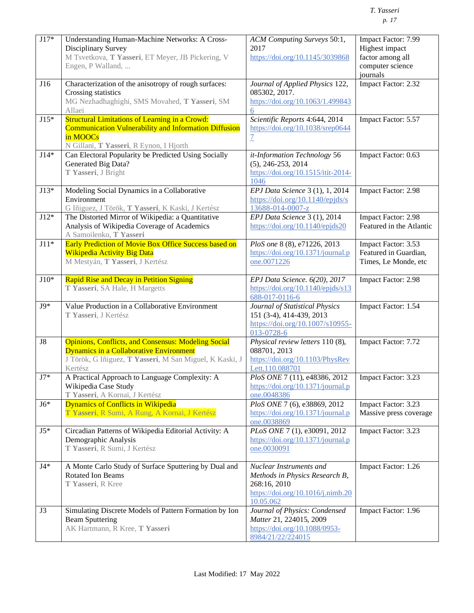| $J17*$     | Understanding Human-Machine Networks: A Cross-<br>Disciplinary Survey<br>M Tsvetkova, T Yasseri, ET Meyer, JB Pickering, V<br>Engen, P Walland,                              | ACM Computing Surveys 50:1,<br>2017<br>https://doi.org/10.1145/3039868                                                           | Impact Factor: 7.99<br>Highest impact<br>factor among all<br>computer science<br>journals |
|------------|------------------------------------------------------------------------------------------------------------------------------------------------------------------------------|----------------------------------------------------------------------------------------------------------------------------------|-------------------------------------------------------------------------------------------|
| J16        | Characterization of the anisotropy of rough surfaces:<br>Crossing statistics<br>MG Nezhadhaghighi, SMS Movahed, T Yasseri, SM<br>Allaei                                      | Journal of Applied Physics 122,<br>085302, 2017.<br>https://doi.org/10.1063/1.499843<br>6                                        | Impact Factor: 2.32                                                                       |
| $J15*$     | <b>Structural Limitations of Learning in a Crowd:</b><br><b>Communication Vulnerability and Information Diffusion</b><br>in MOOCs<br>N Gillani, T Yasseri, R Eynon, I Hjorth | Scientific Reports 4:644, 2014<br>https://doi.org/10.1038/srep0644<br>$\overline{1}$                                             | Impact Factor: 5.57                                                                       |
| $J14*$     | Can Electoral Popularity be Predicted Using Socially<br>Generated Big Data?<br>T Yasseri, J Bright                                                                           | it-Information Technology 56<br>$(5)$ , 246-253, 2014<br>https://doi.org/10.1515/itit-2014-<br>1046                              | Impact Factor: 0.63                                                                       |
| $J13*$     | Modeling Social Dynamics in a Collaborative<br>Environment<br>G Iñiguez, J Török, T Yasseri, K Kaski, J Kertész                                                              | EPJ Data Science 3 (1), 1, 2014<br>$\frac{https://doi.org/10.1140/epjds/s}{https://doi.org/10.1140/epjds/s}$<br>13688-014-0007-z | Impact Factor: 2.98                                                                       |
| $J12*$     | The Distorted Mirror of Wikipedia: a Quantitative<br>Analysis of Wikipedia Coverage of Academics<br>A Samoilenko, T Yasseri                                                  | EPJ Data Science 3 (1), 2014<br>$\frac{https://doi.org/10.1140/epjds20}{https://doi.org/10.1140/epjds20}$                        | Impact Factor: 2.98<br>Featured in the Atlantic                                           |
| $J11*$     | Early Prediction of Movie Box Office Success based on<br><b>Wikipedia Activity Big Data</b><br>M Mestyán, T Yasseri, J Kertész                                               | PloS one 8 (8), e71226, 2013<br>https://doi.org/10.1371/journal.p<br>one.0071226                                                 | Impact Factor: 3.53<br>Featured in Guardian,<br>Times, Le Monde, etc                      |
| $J10*$     | <b>Rapid Rise and Decay in Petition Signing</b><br>T Yasseri, SA Hale, H Margetts                                                                                            | EPJ Data Science. 6(20), 2017<br>https://doi.org/10.1140/epjds/s13<br>688-017-0116-6                                             | Impact Factor: 2.98                                                                       |
| $J9*$      | Value Production in a Collaborative Environment<br>T Yasseri, J Kertész                                                                                                      | Journal of Statistical Physics<br>151 (3-4), 414-439, 2013<br>https://doi.org/10.1007/s10955-<br>013-0728-6                      | Impact Factor: 1.54                                                                       |
| ${\rm J}8$ | <b>Opinions, Conflicts, and Consensus: Modeling Social</b><br>Dynamics in a Collaborative Environment<br>J Török, G Iñiguez, T Yasseri, M San Miguel, K Kaski, J<br>Kertész  | Physical review letters 110 (8),<br>088701, 2013<br>https://doi.org/10.1103/PhysRev<br>Lett.110.088701                           | Impact Factor: 7.72                                                                       |
| $\rm J7^*$ | A Practical Approach to Language Complexity: A<br>Wikipedia Case Study<br>T Yasseri, A Kornai, J Kertész                                                                     | PloS ONE 7 (11), e48386, 2012<br>https://doi.org/10.1371/journal.p<br>one.0048386                                                | Impact Factor: 3.23                                                                       |
| $J6*$      | <b>Dynamics of Conflicts in Wikipedia</b><br>T Yasseri, R Sumi, A Rung, A Kornai, J Kertész                                                                                  | PloS ONE 7 (6), e38869, 2012<br>https://doi.org/10.1371/journal.p<br>one.0038869                                                 | Impact Factor: 3.23<br>Massive press coverage                                             |
| $J5*$      | Circadian Patterns of Wikipedia Editorial Activity: A<br>Demographic Analysis<br>T Yasseri, R Sumi, J Kertész                                                                | PLoS ONE 7 (1), e30091, 2012<br>https://doi.org/10.1371/journal.p<br>one.0030091                                                 | Impact Factor: 3.23                                                                       |
| $J4*$      | A Monte Carlo Study of Surface Sputtering by Dual and<br><b>Rotated Ion Beams</b><br>T Yasseri, R Kree                                                                       | Nuclear Instruments and<br>Methods in Physics Research B,<br>268:16, 2010<br>https://doi.org/10.1016/j.nimb.20<br>10.05.062      | Impact Factor: 1.26                                                                       |
| J3         | Simulating Discrete Models of Pattern Formation by Ion<br><b>Beam Sputtering</b><br>AK Hartmann, R Kree, T Yasseri                                                           | Journal of Physics: Condensed<br>Matter 21, 224015, 2009<br>https://doi.org/10.1088/0953-<br>8984/21/22/224015                   | Impact Factor: 1.96                                                                       |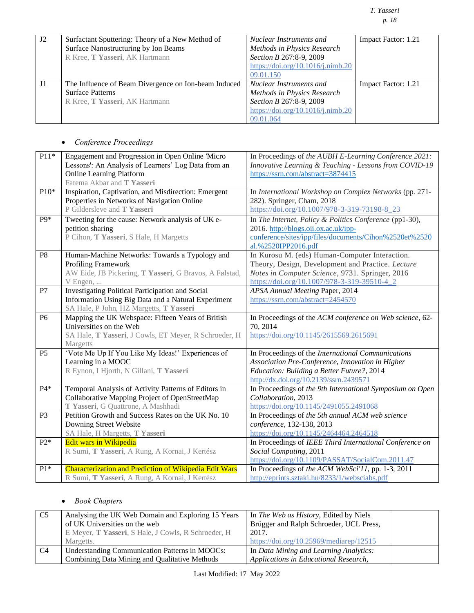# *T. Yasseri p. 18*

| J2 | Surfactant Sputtering: Theory of a New Method of<br>Surface Nanostructuring by Ion Beams | Nuclear Instruments and<br>Methods in Physics Research | Impact Factor: 1.21 |
|----|------------------------------------------------------------------------------------------|--------------------------------------------------------|---------------------|
|    | R Kree, T Yasseri, AK Hartmann                                                           | Section B 267:8-9, 2009                                |                     |
|    |                                                                                          | https://doi.org/10.1016/j.nimb.20                      |                     |
|    |                                                                                          | 09.01.150                                              |                     |
| J1 | The Influence of Beam Divergence on Ion-beam Induced                                     | Nuclear Instruments and                                | Impact Factor: 1.21 |
|    | <b>Surface Patterns</b>                                                                  | Methods in Physics Research                            |                     |
|    | R Kree, T Yasseri, AK Hartmann                                                           | Section B 267:8-9, 2009                                |                     |
|    |                                                                                          | https://doi.org/10.1016/j.nimb.20                      |                     |
|    |                                                                                          | 09.01.064                                              |                     |

# • *Conference Proceedings*

| $P11*$           | Engagement and Progression in Open Online 'Micro       | In Proceedings of the AUBH E-Learning Conference 2021:    |
|------------------|--------------------------------------------------------|-----------------------------------------------------------|
|                  | Lessons': An Analysis of Learners' Log Data from an    | Innovative Learning & Teaching - Lessons from COVID-19    |
|                  | <b>Online Learning Platform</b>                        | https://ssrn.com/abstract=3874415                         |
|                  | Fatema Akbar and T Yasseri                             |                                                           |
| $P10*$           | Inspiration, Captivation, and Misdirection: Emergent   | In International Workshop on Complex Networks (pp. 271-   |
|                  | Properties in Networks of Navigation Online            | 282). Springer, Cham, 2018                                |
|                  | P Gildersleve and T Yasseri                            | https://doi.org/10.1007/978-3-319-73198-8_23              |
| P <sub>9</sub> * | Tweeting for the cause: Network analysis of UK e-      | In The Internet, Policy & Politics Conference (pp1-30),   |
|                  | petition sharing                                       | 2016. http://blogs.oii.ox.ac.uk/ipp-                      |
|                  | P Cihon, T Yasseri, S Hale, H Margetts                 | conference/sites/ipp/files/documents/Cihon%2520et%2520    |
|                  |                                                        | al.%2520IPP2016.pdf                                       |
| P <sub>8</sub>   | Human-Machine Networks: Towards a Typology and         | In Kurosu M. (eds) Human-Computer Interaction.            |
|                  | Profiling Framework                                    | Theory, Design, Development and Practice. Lecture         |
|                  | AW Eide, JB Pickering, T Yasseri, G Bravos, A Følstad, | Notes in Computer Science, 9731. Springer, 2016           |
|                  | V Engen,                                               | https://doi.org/10.1007/978-3-319-39510-4_2               |
| P7               | Investigating Political Participation and Social       | APSA Annual Meeting Paper, 2014                           |
|                  | Information Using Big Data and a Natural Experiment    | https://ssrn.com/abstract=2454570                         |
|                  | SA Hale, P John, HZ Margetts, T Yasseri                |                                                           |
| P6               | Mapping the UK Webspace: Fifteen Years of British      | In Proceedings of the ACM conference on Web science, 62-  |
|                  | Universities on the Web                                | 70, 2014                                                  |
|                  | SA Hale, T Yasseri, J Cowls, ET Meyer, R Schroeder, H  | https://doi.org/10.1145/2615569.2615691                   |
|                  | Margetts                                               |                                                           |
| <b>P5</b>        | 'Vote Me Up If You Like My Ideas!' Experiences of      | In Proceedings of the International Communications        |
|                  | Learning in a MOOC                                     | Association Pre-Conference, Innovation in Higher          |
|                  | R Eynon, I Hjorth, N Gillani, T Yasseri                | Education: Building a Better Future?, 2014                |
|                  |                                                        | http://dx.doi.org/10.2139/ssrn.2439571                    |
| $P4*$            | Temporal Analysis of Activity Patterns of Editors in   | In Proceedings of the 9th International Symposium on Open |
|                  | Collaborative Mapping Project of OpenStreetMap         | Collaboration, 2013                                       |
|                  | T Yasseri, G Quattrone, A Mashhadi                     | https://doi.org/10.1145/2491055.2491068                   |
| P <sub>3</sub>   | Petition Growth and Success Rates on the UK No. 10     | In Proceedings of the 5th annual ACM web science          |
|                  | Downing Street Website                                 | conference, 132-138, 2013                                 |
|                  | SA Hale, H Margetts, T Yasseri                         | https://doi.org/10.1145/2464464.2464518                   |
| $P2*$            | Edit wars in Wikipedia                                 | In Proceedings of IEEE Third International Conference on  |
|                  | R Sumi, T Yasseri, A Rung, A Kornai, J Kertész         | Social Computing, 2011                                    |
|                  |                                                        | https://doi.org/10.1109/PASSAT/SocialCom.2011.47          |
| $P1*$            | Characterization and Prediction of Wikipedia Edit Wars | In Proceedings of the ACM WebSci'll, pp. 1-3, 2011        |
|                  | R Sumi, T Yasseri, A Rung, A Kornai, J Kertész         | http://eprints.sztaki.hu/8233/1/websciabs.pdf             |

# • *Book Chapters*

| C <sub>5</sub> | Analysing the UK Web Domain and Exploring 15 Years  | In The Web as History, Edited by Niels  |
|----------------|-----------------------------------------------------|-----------------------------------------|
|                | of UK Universities on the web                       | Brügger and Ralph Schroeder, UCL Press, |
|                | E Meyer, T Yasseri, S Hale, J Cowls, R Schroeder, H | 2017.                                   |
|                | Margetts.                                           | https://doi.org/10.25969/mediarep/12515 |
| C4             | Understanding Communication Patterns in MOOCs:      | In Data Mining and Learning Analytics:  |
|                | Combining Data Mining and Qualitative Methods       | Applications in Educational Research,   |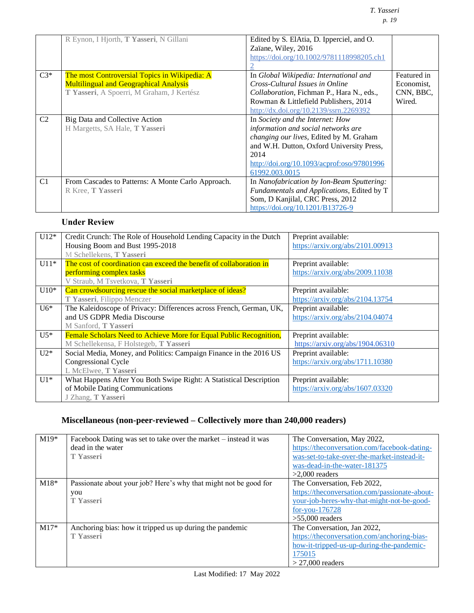|                | R Eynon, I Hjorth, T Yasseri, N Gillani            | Edited by S. ElAtia, D. Ipperciel, and O.  |             |
|----------------|----------------------------------------------------|--------------------------------------------|-------------|
|                |                                                    | Zaïane, Wiley, 2016                        |             |
|                |                                                    | https://doi.org/10.1002/9781118998205.ch1  |             |
|                |                                                    |                                            |             |
| $C3*$          | The most Controversial Topics in Wikipedia: A      | In Global Wikipedia: International and     | Featured in |
|                | <b>Multilingual and Geographical Analysis</b>      | Cross-Cultural Issues in Online            | Economist,  |
|                | T Yasseri, A Spoerri, M Graham, J Kertész          | Collaboration, Fichman P., Hara N., eds.,  | CNN, BBC,   |
|                |                                                    | Rowman & Littlefield Publishers, 2014      | Wired.      |
|                |                                                    | http://dx.doi.org/10.2139/ssrn.2269392     |             |
| C <sub>2</sub> | Big Data and Collective Action                     | In Society and the Internet: How           |             |
|                | H Margetts, SA Hale, T Yasseri                     | information and social networks are        |             |
|                |                                                    | changing our lives, Edited by M. Graham    |             |
|                |                                                    | and W.H. Dutton, Oxford University Press,  |             |
|                |                                                    | 2014                                       |             |
|                |                                                    | http://doi.org/10.1093/acprof.oso/97801996 |             |
|                |                                                    | 61992.003.0015                             |             |
| C1             | From Cascades to Patterns: A Monte Carlo Approach. | In Nanofabrication by Ion-Beam Sputtering: |             |
|                | R Kree, T Yasseri                                  | Fundamentals and Applications, Edited by T |             |
|                |                                                    | Som, D Kanjilal, CRC Press, 2012           |             |
|                |                                                    | https://doi.org/10.1201/B13726-9           |             |

# **Under Review**

| $U12*$ | Credit Crunch: The Role of Household Lending Capacity in the Dutch  | Preprint available:              |
|--------|---------------------------------------------------------------------|----------------------------------|
|        | Housing Boom and Bust 1995-2018                                     | https://arxiv.org/abs/2101.00913 |
|        | M Schellekens, T Yasseri                                            |                                  |
| $U11*$ | The cost of coordination can exceed the benefit of collaboration in | Preprint available:              |
|        | performing complex tasks                                            | https://arxiv.org/abs/2009.11038 |
|        | V Straub, M Tsvetkova, T Yasseri                                    |                                  |
| $U10*$ | Can crowdsourcing rescue the social marketplace of ideas?           | Preprint available:              |
|        | T Yasseri, Filippo Menczer                                          | https://arxiv.org/abs/2104.13754 |
| $U6*$  | The Kaleidoscope of Privacy: Differences across French, German, UK, | Preprint available:              |
|        | and US GDPR Media Discourse                                         | https://arxiv.org/abs/2104.04074 |
|        | M Sanford, T Yasseri                                                |                                  |
| $U5*$  | Female Scholars Need to Achieve More for Equal Public Recognition,  | Preprint available:              |
|        | M Schellekensa, F Holstegeb, T Yasseri                              | https://arxiv.org/abs/1904.06310 |
| $U2*$  | Social Media, Money, and Politics: Campaign Finance in the 2016 US  | Preprint available:              |
|        | Congressional Cycle                                                 | https://arxiv.org/abs/1711.10380 |
|        | L McElwee, T Yasseri                                                |                                  |
| $U1*$  | What Happens After You Both Swipe Right: A Statistical Description  | Preprint available:              |
|        | of Mobile Dating Communications                                     | https://arxiv.org/abs/1607.03320 |
|        | J Zhang, T Yasseri                                                  |                                  |

# **Miscellaneous (non-peer-reviewed – Collectively more than 240,000 readers)**

| $M19*$ | Facebook Dating was set to take over the market – instead it was<br>dead in the water<br><b>T</b> Yasseri | The Conversation, May 2022,<br>https://theconversation.com/facebook-dating-<br>was-set-to-take-over-the-market-instead-it-<br>was-dead-in-the-water-181375<br>$>2,000$ readers |
|--------|-----------------------------------------------------------------------------------------------------------|--------------------------------------------------------------------------------------------------------------------------------------------------------------------------------|
| $M18*$ | Passionate about your job? Here's why that might not be good for<br>you<br><b>T</b> Yasseri               | The Conversation, Feb 2022,<br>https://theconversation.com/passionate-about-<br>your-job-heres-why-that-might-not-be-good-<br>$for$ -you-176728<br>$>55,000$ readers           |
| $M17*$ | Anchoring bias: how it tripped us up during the pandemic<br><b>T</b> Yasseri                              | The Conversation, Jan 2022,<br>https://theconversation.com/anchoring-bias-<br>how-it-tripped-us-up-during-the-pandemic-<br>175015<br>$>$ 27,000 readers                        |